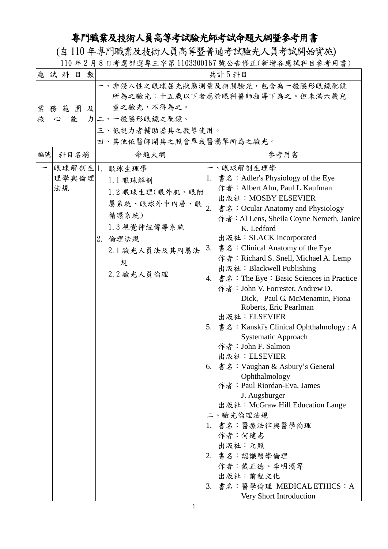## 專門職業及技術人員高等考試驗光師考試命題大綱暨參考用書

(自110年專門職業及技術人員高等暨普通考試驗光人員考試開始實施) 110 年 2 月 8 日考選部選專三字第 1103300167 號公告修正(新增各應試科目參考用書)

| 數<br>應試科目<br>共計5科目<br>一、非侵入性之眼球屈光狀態測量及相關驗光,包含為一般隱形眼鏡配鏡<br>所為之驗光;十五歲以下者應於眼科醫師指導下為之。但未滿六歲兒<br>童之驗光,不得為之。<br>業務範圍及<br>力二、一般隱形眼鏡之配鏡。<br>核<br>能<br>心<br>三、低視力者輔助器具之教導使用。<br>四、其他依醫師開具之照會單或醫囑單所為之驗光。<br>參考用書<br>編號<br>命題大綱<br>科目名稱<br>眼球解剖生 1. 眼球生理學<br>一、眼球解剖生理學<br>1. 書名:Adler's Physiology of the Eye<br>理學與倫理<br>1.1 眼球解剖<br>作者: Albert Alm, Paul L.Kaufman<br>法規<br>1.2 眼球生理(眼外肌、眼附<br>出版社: MOSBY ELSEVIER<br>屬系統、眼球外中內層、眼<br>2.<br>書名: Ocular Anatomy and Physiology<br>循環系統)<br>1.3 視覺神經傳導系統<br>K. Ledford<br>出版社: SLACK Incorporated<br>2. 倫理法規<br>書名: Clinical Anatomy of the Eye<br>3.<br>2.1 驗光人員法及其附屬法<br>作者: Richard S. Snell, Michael A. Lemp<br>規<br>出版社: Blackwell Publishing<br>2.2 驗光人員倫理<br>作者: John V. Forrester, Andrew D.<br>Dick, Paul G. McMenamin, Fiona<br>Roberts, Eric Pearlman<br>出版社: ELSEVIER<br><b>Systematic Approach</b><br>作者: John F. Salmon<br>出版社: ELSEVIER<br>[6. 書名:Vaughan & Asbury's General<br>Ophthalmology<br>作者: Paul Riordan-Eva, James<br>J. Augsburger<br>出版社: McGraw Hill Education Lange<br>二、驗光倫理法規<br>1. 書名:醫療法律與醫學倫理<br>作者:何建志<br>出版社:元照<br>2. 書名:認識醫學倫理<br>作者:戴正德、李明濱等<br>出版社:前程文化 |  |  |                                                                                                                                                                                  |
|-------------------------------------------------------------------------------------------------------------------------------------------------------------------------------------------------------------------------------------------------------------------------------------------------------------------------------------------------------------------------------------------------------------------------------------------------------------------------------------------------------------------------------------------------------------------------------------------------------------------------------------------------------------------------------------------------------------------------------------------------------------------------------------------------------------------------------------------------------------------------------------------------------------------------------------------------------------------------------------------------------------------------------------------------------------------------------------------------------------------------------------|--|--|----------------------------------------------------------------------------------------------------------------------------------------------------------------------------------|
|                                                                                                                                                                                                                                                                                                                                                                                                                                                                                                                                                                                                                                                                                                                                                                                                                                                                                                                                                                                                                                                                                                                                     |  |  |                                                                                                                                                                                  |
|                                                                                                                                                                                                                                                                                                                                                                                                                                                                                                                                                                                                                                                                                                                                                                                                                                                                                                                                                                                                                                                                                                                                     |  |  |                                                                                                                                                                                  |
|                                                                                                                                                                                                                                                                                                                                                                                                                                                                                                                                                                                                                                                                                                                                                                                                                                                                                                                                                                                                                                                                                                                                     |  |  |                                                                                                                                                                                  |
| Very Short Introduction                                                                                                                                                                                                                                                                                                                                                                                                                                                                                                                                                                                                                                                                                                                                                                                                                                                                                                                                                                                                                                                                                                             |  |  | 作者: Al Lens, Sheila Coyne Nemeth, Janice<br>$ 4. \text{ }$ 書名 : The Eye : Basic Sciences in Practice<br>5. 書名: Kanski's Clinical Ophthalmology: A<br>3. 書名:醫學倫理 MEDICAL ETHICS:A |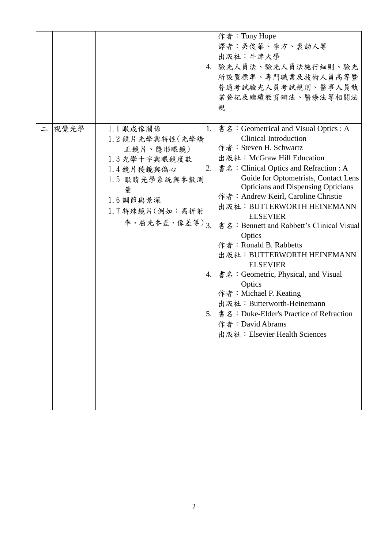|      |                                                                                                                                                   | 作者: Tony Hope<br>譯者:吳俊華、李方、裘劼人等<br>出版社:牛津大學<br>4. 驗光人員法、驗光人員法施行細則、驗光<br>所設置標準、專門職業及技術人員高等暨<br>普通考試驗光人員考試規則、醫事人員執<br>業登記及繼續教育辦法、醫療法等相關法<br>規                                                                                                                                                                                                                                                                                                                                                                                                                                                                                                                                                                                     |
|------|---------------------------------------------------------------------------------------------------------------------------------------------------|---------------------------------------------------------------------------------------------------------------------------------------------------------------------------------------------------------------------------------------------------------------------------------------------------------------------------------------------------------------------------------------------------------------------------------------------------------------------------------------------------------------------------------------------------------------------------------------------------------------------------------------------------------------------------------------------------------------------------------|
| 視覺光學 | 1.1 眼成像關係<br>1.2 鏡片光學與特性(光學矯<br>正鏡片、隱形眼鏡)<br>1.3 光學十字與眼鏡度數<br>1.4 鏡片稜鏡與偏心<br>1.5 眼睛光學系統與參數測<br>量<br>$1.6$ 調節與景深<br>1.7 特殊鏡片(例如:高折射<br>率、屈光參差、像差等) | 1. 書名: Geometrical and Visual Optics : A<br><b>Clinical Introduction</b><br>作者: Steven H. Schwartz<br>出版社: McGraw Hill Education<br>書名: Clinical Optics and Refraction : A<br>2.<br>Guide for Optometrists, Contact Lens<br><b>Opticians and Dispensing Opticians</b><br>作者: Andrew Keirl, Caroline Christie<br>出版社: BUTTERWORTH HEINEMANN<br><b>ELSEVIER</b><br>$\frac{1}{3}$<br>書名: Bennett and Rabbett's Clinical Visual<br>Optics<br>作者: Ronald B. Rabbetts<br>出版社: BUTTERWORTH HEINEMANN<br><b>ELSEVIER</b><br>4. 書名: Geometric, Physical, and Visual<br>Optics<br>作者: Michael P. Keating<br>出版社: Butterworth-Heinemann<br>5. 書名: Duke-Elder's Practice of Refraction<br>作者: David Abrams<br>出版社: Elsevier Health Sciences |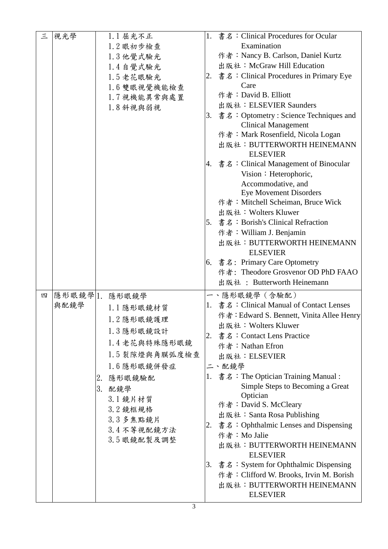| 三 | 視光學            |    | 1.1 屈光不正       |    | 1. 書名: Clinical Procedures for Ocular                   |
|---|----------------|----|----------------|----|---------------------------------------------------------|
|   |                |    | 1.2 眼初步檢查      |    | Examination                                             |
|   |                |    | 1.3 他覺式驗光      |    | 作者: Nancy B. Carlson, Daniel Kurtz                      |
|   |                |    | 1.4自覺式驗光       |    | 出版社: McGraw Hill Education                              |
|   |                |    | 1.5老花眼驗光       |    | $ 2. \text{ }$ 書名 : Clinical Procedures in Primary Eye  |
|   |                |    | 1.6 雙眼視覺機能檢查   |    | Care                                                    |
|   |                |    | 1.7 視機能異常與處置   |    | 作者: David B. Elliott                                    |
|   |                |    | 1.8 斜視與弱視      |    | 出版社: ELSEVIER Saunders                                  |
|   |                |    |                | 3. | 書名: Optometry: Science Techniques and                   |
|   |                |    |                |    | <b>Clinical Management</b>                              |
|   |                |    |                |    | 作者: Mark Rosenfield, Nicola Logan                       |
|   |                |    |                |    | 出版社: BUTTERWORTH HEINEMANN<br><b>ELSEVIER</b>           |
|   |                |    |                |    | $\left 4. \right $ 書名: Clinical Management of Binocular |
|   |                |    |                |    | Vision: Heterophoric,                                   |
|   |                |    |                |    | Accommodative, and                                      |
|   |                |    |                |    | <b>Eye Movement Disorders</b>                           |
|   |                |    |                |    | 作者: Mitchell Scheiman, Bruce Wick                       |
|   |                |    |                |    | 出版社: Wolters Kluwer                                     |
|   |                |    |                |    | 5. 書名: Borish's Clinical Refraction                     |
|   |                |    |                |    | 作者: William J. Benjamin                                 |
|   |                |    |                |    | 出版社: BUTTERWORTH HEINEMANN                              |
|   |                |    |                |    | <b>ELSEVIER</b>                                         |
|   |                |    |                |    | 6. 書名: Primary Care Optometry                           |
|   |                |    |                |    | 作者: Theodore Grosvenor OD PhD FAAO                      |
|   |                |    |                |    | 出版社: Butterworth Heinemann                              |
| 四 | 隱形眼鏡學 1. 隱形眼鏡學 |    |                |    | 一、隱形眼鏡學 (含驗配)                                           |
|   | 與配鏡學           |    | 1.1 隱形眼鏡材質     |    | 1. 書名: Clinical Manual of Contact Lenses                |
|   |                |    | 1.2 隱形眼鏡護理     |    | 作者: Edward S. Bennett, Vinita Allee Henry               |
|   |                |    |                |    | 出版社: Wolters Kluwer                                     |
|   |                |    | 1.3 隱形眼鏡設計     |    | 2. 書名: Contact Lens Practice                            |
|   |                |    | 1.4老花與特殊隱形眼鏡   |    | 作者: Nathan Efron                                        |
|   |                |    | 1.5 裂隙燈與角膜弧度檢查 |    | 出版社: ELSEVIER                                           |
|   |                |    | 1.6隱形眼鏡併發症     |    | 二、配鏡學                                                   |
|   |                | 2. | 隱形眼鏡驗配         |    | 1. 書名: The Optician Training Manual:                    |
|   |                |    | 3. 配鏡學         |    | Simple Steps to Becoming a Great                        |
|   |                |    | 3.1 鏡片材質       |    | Optician                                                |
|   |                |    | 3.2 鏡框規格       |    | 作者: David S. McCleary                                   |
|   |                |    |                |    | 出版社: Santa Rosa Publishing                              |
|   |                |    | 3.3多焦點鏡片       | 2. | 書名:Ophthalmic Lenses and Dispensing                     |
|   |                |    | 3.4不等視配鏡方法     |    | 作者: Mo Jalie                                            |
|   |                |    | 3.5 眼鏡配製及調整    |    | 出版社: BUTTERWORTH HEINEMANN                              |
|   |                |    |                |    | <b>ELSEVIER</b>                                         |
|   |                |    |                |    | 3. 書名:System for Ophthalmic Dispensing                  |
|   |                |    |                |    | 作者: Clifford W. Brooks, Irvin M. Borish                 |
|   |                |    |                |    | 出版社: BUTTERWORTH HEINEMANN                              |
|   |                |    |                |    | <b>ELSEVIER</b>                                         |
|   |                |    |                |    |                                                         |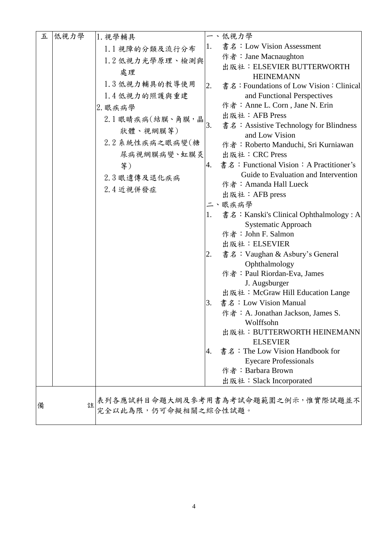| 五 | 低視力學 | 1. 視學輔具          |    | 一、低視力學                                                          |
|---|------|------------------|----|-----------------------------------------------------------------|
|   |      | 1.1 視障的分類及流行分布   | 1. | 書名: Low Vision Assessment                                       |
|   |      | 1.2 低視力光學原理、檢測與  |    | 作者:Jane Macnaughton                                             |
|   |      | 處理               |    | 出版社: ELSEVIER BUTTERWORTH                                       |
|   |      | 1.3 低視力輔具的教導使用   |    | <b>HEINEMANN</b>                                                |
|   |      |                  | 2. | 書名: Foundations of Low Vision: Clinical                         |
|   |      | 1.4低視力的照護與重建     |    | and Functional Perspectives<br>作者: Anne L. Corn, Jane N. Erin   |
|   |      | 2. 眼疾病學          |    | 出版社: AFB Press                                                  |
|   |      | 2.1 眼睛疾病(結膜、角膜,晶 | 3. | 書名: Assistive Technology for Blindness                          |
|   |      | 狀體、視網膜等)         |    | and Low Vision                                                  |
|   |      | 2.2 系統性疾病之眼病變(糖  |    | 作者: Roberto Manduchi, Sri Kurniawan                             |
|   |      | 尿病視網膜病變、虹膜炎      |    | 出版社: CRC Press                                                  |
|   |      | 等)               | 4. | 書名: Functional Vision: A Practitioner's                         |
|   |      |                  |    | Guide to Evaluation and Intervention                            |
|   |      | 2.3 眼遺傳及退化疾病     |    | 作者: Amanda Hall Lueck                                           |
|   |      | 2.4 近視併發症        |    | 出版社: AFB press                                                  |
|   |      |                  |    | 二、眼疾病學                                                          |
|   |      |                  | 1. | 書名: Kanski's Clinical Ophthalmology: A                          |
|   |      |                  |    | Systematic Approach                                             |
|   |      |                  |    | 作者: John F. Salmon                                              |
|   |      |                  |    | 出版社: ELSEVIER                                                   |
|   |      |                  | 2. | 書名: Vaughan & Asbury's General                                  |
|   |      |                  |    | Ophthalmology                                                   |
|   |      |                  |    | 作者: Paul Riordan-Eva, James                                     |
|   |      |                  |    | J. Augsburger                                                   |
|   |      |                  |    | 出版社: McGraw Hill Education Lange                                |
|   |      |                  | 3. | 書名: Low Vision Manual                                           |
|   |      |                  |    | 作者: A. Jonathan Jackson, James S.<br>Wolffsohn                  |
|   |      |                  |    | 出版社: BUTTERWORTH HEINEMANN                                      |
|   |      |                  |    | <b>ELSEVIER</b>                                                 |
|   |      |                  | 4. | 書名: The Low Vision Handbook for                                 |
|   |      |                  |    | <b>Eyecare Professionals</b>                                    |
|   |      |                  |    | 作者: Barbara Brown                                               |
|   |      |                  |    | 出版社: Slack Incorporated                                         |
|   |      |                  |    |                                                                 |
| 備 |      |                  |    | 主表列各應試科目命題大綱及參考用書為考試命題範圍之例示,惟實際試題並不<br><br>完全以此為限,仍可命擬相關之綜合性試題。 |
|   |      |                  |    |                                                                 |
|   |      |                  |    |                                                                 |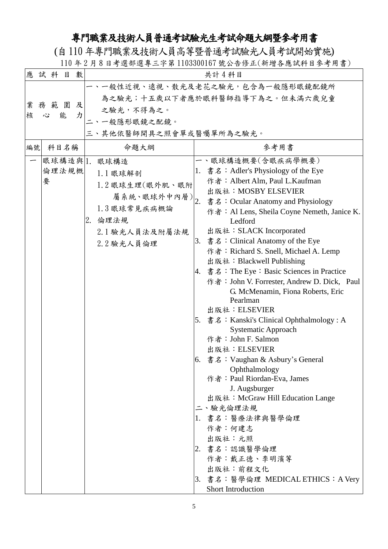## 專門職業及技術人員普通考試驗光生考試命題大綱暨參考用書

(自110年專門職業及技術人員高等暨普通考試驗光人員考試開始實施)

110 年 2 月 8 日考選部選專三字第 1103300167 號公告修正(新增各應試科目參考用書)

|    | 應試科   | 目    | 數 |                         | 共計4科目                                                         |
|----|-------|------|---|-------------------------|---------------------------------------------------------------|
|    |       |      |   |                         | 一、一般性近視、遠視、散光及老花之驗光,包含為一般隱形眼鏡配鏡所                              |
|    |       |      |   |                         | 為之驗光;十五歲以下者應於眼科醫師指導下為之。但未滿六歲兒童                                |
| 業  | 務範圍   |      | 及 | 之驗光,不得為之。               |                                                               |
| 核  | 心     | 能    | 力 | 二、一般隱形眼鏡之配鏡。            |                                                               |
|    |       |      |   | 三、其他依醫師開具之照會單或醫囑單所為之驗光。 |                                                               |
| 編號 |       | 科目名稱 |   | 命題大綱                    | 參考用書                                                          |
|    |       |      |   | 眼球構造與 1. 眼球構造           | 一、眼球構造概要(含眼疾病學概要)                                             |
|    | 倫理法規概 |      |   | 1.1 眼球解剖                | 1. 書名: Adler's Physiology of the Eye                          |
|    | 要     |      |   | 1.2 眼球生理(眼外肌、眼附         | 作者: Albert Alm, Paul L.Kaufman                                |
|    |       |      |   | 屬系統、眼球外中內層) 2.          | 出版社: MOSBY ELSEVIER                                           |
|    |       |      |   | 1.3 眼球常見疾病概論            | 書名: Ocular Anatomy and Physiology                             |
|    |       |      |   |                         | 作者: Al Lens, Sheila Coyne Nemeth, Janice K.                   |
|    |       |      |   | 2.<br>倫理法規              | Ledford                                                       |
|    |       |      |   | 2.1 驗光人員法及附屬法規          | 出版社: SLACK Incorporated<br>3. 書名: Clinical Anatomy of the Eye |
|    |       |      |   | 2.2 驗光人員倫理              | 作者: Richard S. Snell, Michael A. Lemp                         |
|    |       |      |   |                         | 出版社: Blackwell Publishing                                     |
|    |       |      |   |                         | 書名: The Eye: Basic Sciences in Practice<br>4.                 |
|    |       |      |   |                         | 作者: John V. Forrester, Andrew D. Dick, Paul                   |
|    |       |      |   |                         | G. McMenamin, Fiona Roberts, Eric                             |
|    |       |      |   |                         | Pearlman                                                      |
|    |       |      |   |                         | 出版社: ELSEVIER                                                 |
|    |       |      |   |                         | 書名: Kanski's Clinical Ophthalmology: A<br>5.                  |
|    |       |      |   |                         | <b>Systematic Approach</b>                                    |
|    |       |      |   |                         | 作者: John F. Salmon                                            |
|    |       |      |   |                         | 出版社:ELSEVIER<br>6. 書名: Vaughan & Asbury's General             |
|    |       |      |   |                         | Ophthalmology                                                 |
|    |       |      |   |                         | 作者: Paul Riordan-Eva, James                                   |
|    |       |      |   |                         | J. Augsburger                                                 |
|    |       |      |   |                         | 出版社: McGraw Hill Education Lange                              |
|    |       |      |   |                         | 二、驗光倫理法規                                                      |
|    |       |      |   |                         | 1. 書名:醫療法律與醫學倫理                                               |
|    |       |      |   |                         | 作者:何建志                                                        |
|    |       |      |   |                         | 出版社:元照                                                        |
|    |       |      |   |                         | 2. 書名:認識醫學倫理                                                  |
|    |       |      |   |                         | 作者:戴正德、李明濱等                                                   |
|    |       |      |   |                         | 出版社:前程文化                                                      |
|    |       |      |   |                         | 3. 書名:醫學倫理 MEDICAL ETHICS:A Very                              |
|    |       |      |   |                         | Short Introduction                                            |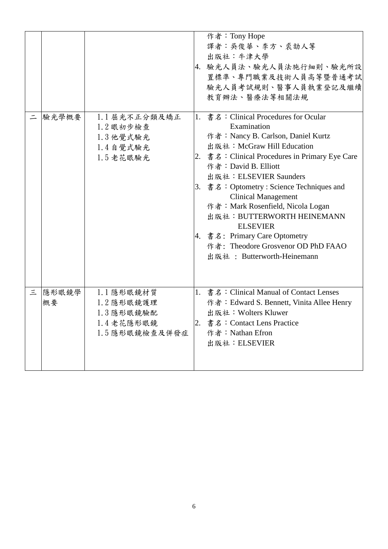|   |             |                                                                      | 作者: Tony Hope<br>譯者:吳俊華、李方、裘劼人等<br>出版社:牛津大學<br>4. 驗光人員法、驗光人員法施行細則、驗光所設<br>置標準、專門職業及技術人員高等暨普通考試<br>驗光人員考試規則、醫事人員執業登記及繼續<br>教育辦法、醫療法等相關法規                                                                                                                                                                                                                                                                                                                                                                                                           |
|---|-------------|----------------------------------------------------------------------|---------------------------------------------------------------------------------------------------------------------------------------------------------------------------------------------------------------------------------------------------------------------------------------------------------------------------------------------------------------------------------------------------------------------------------------------------------------------------------------------------------------------------------------------------|
|   | 驗光學概要       | 1.1 屈光不正分類及矯正<br>1.2 眼初步檢查<br>1.3 他覺式驗光<br>1.4自覺式驗光<br>1.5老花眼驗光      | 1. 書名: Clinical Procedures for Ocular<br>Examination<br>作者: Nancy B. Carlson, Daniel Kurtz<br>出版社: McGraw Hill Education<br>$\vert 2. \vert \ddot{\mathbf{g}} \dot{\mathbf{z}}$ : Clinical Procedures in Primary Eye Care<br>作者: David B. Elliott<br>出版社: ELSEVIER Saunders<br>3. 書名: Optometry : Science Techniques and<br><b>Clinical Management</b><br>作者: Mark Rosenfield, Nicola Logan<br>出版社: BUTTERWORTH HEINEMANN<br><b>ELSEVIER</b><br>4. 書名: Primary Care Optometry<br>作者: Theodore Grosvenor OD PhD FAAO<br>出版社: Butterworth-Heinemann |
| 三 | 隱形眼鏡學<br>概要 | 1.1 隱形眼鏡材質<br>1.2 隱形眼鏡護理<br>1.3 隱形眼鏡驗配<br>1.4老花隱形眼鏡<br>1.5隱形眼鏡檢查及併發症 | 1. 書名: Clinical Manual of Contact Lenses<br>作者: Edward S. Bennett, Vinita Allee Henry<br>出版社: Wolters Kluwer<br>2. 書名: Contact Lens Practice<br>作者: Nathan Efron<br>出版社: ELSEVIER                                                                                                                                                                                                                                                                                                                                                                 |